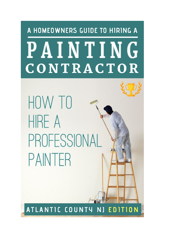# A HOMEOWNERS GUIDE TO HIRING A PAINTING CONTRACTOR

HOW TO HIRE A PROFESSIONAL PAINTFR

ATLANTIC COUNTY N<sub>J</sub> EDITION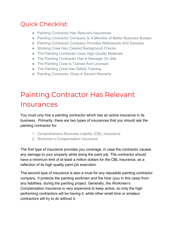#### Quick Checklist:

- Painting Contractor Has Relevant Insurances
- Painting Contractor Company Is A Member of Better Business Bureau
- Painting Contractor Company Provides References And Samples
- Working Crew Has Cleared Background Checks
- The Painting Contractor Uses High Quality Materials
- The Painting Contractor Has A Manager On Site
- The Painting Crew Is Trained And Licensed
- The Painting Crew Has Safety Training
- Painting Contractor Gives A Decent Warranty

#### Painting Contractor Has Relevant Insurances

You must only hire a painting contractor which has an active insurance in its business. Primarily, there are two types of insurances that you should ask the painting contractor for:

- 1. Comprehensive Business Liability (CBL) Insurance
- 2. Workmen's Compensation Insurance

The first type of insurance provides you coverage, in case the contractor causes any damage to your property while doing the paint job. The contractor should have a minimum limit of at least a million dollars for the CBL insurance, as a reflection of its high quality paint job execution.

The second type of insurance is also a must for any reputable painting contractor company. It protects the painting workmen and the hirer (you in this case) from any liabilities, during the painting project. Generally, the Workmen's Compensation insurance is very expensive to keep active, so only the high performing contractors will be having it, while other small time or amateur contractors will try to do without it.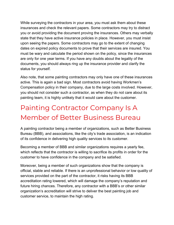While surveying the contractors in your area, you must ask them about these insurances and check the relevant papers. Some contractors may try to distract you or avoid providing the document proving the insurances. Others may verbally state that they have active insurance policies in place. However, you must insist upon seeing the papers. Some contractors may go to the extent of changing dates on expired policy documents to prove that their services are insured. You must be wary and calculate the period shown on the policy, since the insurances are only for one year terms. If you have any doubts about the legality of the documents, you should always ring up the insurance provider and clarify the status for yourself.

Also note, that some painting contractors may only have one of these insurances active. This is again a bad sign. Most contractors avoid having Workmen's Compensation policy in their company, due to the large costs involved. However, you should not consider such a contractor, as when they do not care about its painting team, it is highly unlikely that it would care about the customer.

#### Painting Contractor Company Is A Member of Better Business Bureau

A painting contractor being a member of organizations, such as Better Business Bureau (BBB), and associations, like the city's trade association, is an indication of its confidence in delivering high quality services to its customer.

Becoming a member of BBB and similar organizations requires a yearly fee, which reflects that the contractor is willing to sacrifice its profits in order for the customer to have confidence in the company and be satisfied.

Moreover, being a member of such organizations show that the company is official, stable and reliable. If there is an unprofessional behavior or low quality of services provided on the part of the contractor, it risks having its BBB accreditation rating lowered, which will damage the company's reputation and future hiring chances. Therefore, any contractor with a BBB's or other similar organization's accreditation will strive to deliver the best painting job and customer service, to maintain the high rating.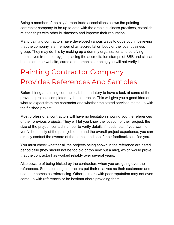Being a member of the city / urban trade associations allows the painting contractor company to be up to date with the area's business practices, establish relationships with other businesses and improve their reputation.

Many painting contractors have developed various ways to dupe you in believing that the company is a member of an accreditation body or the local business group. They may do this by making up a dummy organization and certifying themselves from it, or by just placing the accreditation stamps of BBB and similar bodies on their website, cards and pamphlets, hoping you will not verify it.

#### Painting Contractor Company Provides References And Samples

Before hiring a painting contractor, it is mandatory to have a look at some of the previous projects completed by the contractor. This will give you a good idea of what to expect from the contractor and whether the stated services match up with the finished project.

Most professional contractors will have no hesitation showing you the references of their previous projects. They will let you know the location of their project, the size of the project, contact number to verify details if needs, etc. If you want to verify the quality of the paint job done and the overall project experience, you can directly contact the owners of the homes and see if their feedback satisfies you.

You must check whether all the projects being shown in the reference are dated periodically (they should not be too old or too new but a mix), which would prove that the contractor has worked reliably over several years.

Also beware of being tricked by the contractors when you are going over the references. Some painting contractors put their relatives as their customers and use their homes as referencing. Other painters with poor reputation may not even come up with references or be hesitant about providing them.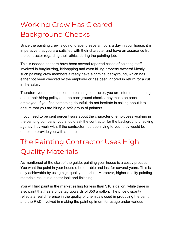### Working Crew Has Cleared Background Checks

Since the painting crew is going to spend several hours a day in your house, it is imperative that you are satisfied with their character and have an assurance from the contractor regarding their ethics during the painting job.

This is needed as there have been several reported cases of painting staff involved in burglarizing, kidnapping and even killing property owners! Mostly, such painting crew members already have a criminal background, which has either not been checked by the employer or has been ignored in return for a cut in the salary.

Therefore you must question the painting contractor, you are interested in hiring, about their hiring policy and the background checks they make on each employee. If you find something doubtful, do not hesitate in asking about it to ensure that you are hiring a safe group of painters.

If you need to be cent percent sure about the character of employees working in the painting company, you should ask the contractor for the background checking agency they work with. If the contractor has been lying to you, they would be unable to provide you with a name.

#### The Painting Contractor Uses High Quality Materials

As mentioned at the start of the guide, painting your house is a costly process. You want the paint in your house o be durable and last for several years. This is only achievable by using high quality materials. Moreover, higher quality painting materials result in a better look and finishing.

You will find paint in the market selling for less than \$10 a gallon, while there is also paint that has a price tag upwards of \$50 a gallon. The price disparity reflects a real difference in the quality of chemicals used in producing the paint and the R&D involved in making the paint optimum for usage under various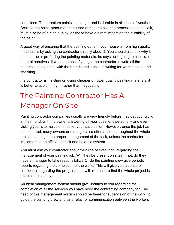conditions. The premium paints last longer and is durable in all kinds of weather. Besides the paint, other materials used during the coloring process, such as calk, must also be of a high quality, as these have a direct impact on the durability of the paint.

A good way of ensuring that the painting done in your house is from high quality materials is by asking the contractor directly about it. You should also ask why is the contractor preferring the painting materials, he says he is going to use, over other alternatives. It would be best if you get the contractor to write all the materials being used, with the brands and labels, in writing for your keeping and checking.

If a contractor is insisting on using cheaper or lower quality painting materials, it is better to avoid hiring it, rather than negotiating.

## The Painting Contractor Has A Manager On Site

Painting contractor companies usually are very friendly before they get your work in their hand, with the owner answering all your questions personally and even visiting your site multiple times for your satisfaction. However, once the job has been started, many owners or managers are often absent throughout the whole project, leading to no proper management of the task, unless the contractor has implemented an efficient check and balance system.

You must ask your contractor about their line of execution, regarding the management of your painting job. Will they be present on site? If not, do they have a manager to take responsibility? Or do the painting crew give periodic reports regarding the completion of the work? This will give you a sense of confidence regarding the progress and will also ensure that the whole project is executed smoothly.

An ideal management system should give updates to you regarding the completion of all the services you have hired the contracting company for. The head of this management system should be there for supervision of the work, to guide the painting crew and as a relay for communication between the workers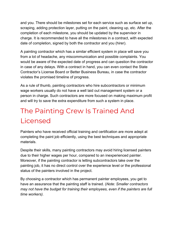and you. There should be milestones set for each service such as surface set up, scraping, adding protection layer, putting on the paint, cleaning up, etc. After the completion of each milestone, you should be updated by the supervisor in charge. It is recommended to have all the milestones in a contract, with expected date of completion, signed by both the contractor and you (hirer).

A painting contractor which has a similar efficient system in place will save you from a lot of headache, any miscommunication and possible complaints. You would be aware of the expected date of progress and can question the contractor in case of any delays. With a contract in hand, you can even contact the State Contractor's License Board or Better Business Bureau, in case the contractor violates the promised timeline of progress.

As a rule of thumb, painting contractors who hire subcontractors or minimum wage workers usually do not have a well laid out management system or a person in charge. Such contractors are more focused on making maximum profit and will try to save the extra expenditure from such a system in place.

### The Painting Crew Is Trained And Licensed

Painters who have received official training and certification are more adept at completing the paint job efficiently, using the best techniques and appropriate materials.

Despite their skills, many painting contractors may avoid hiring licensed painters due to their higher wages per hour, compared to an inexperienced painter. Moreover, if the painting contractor is letting subcontractors take over the painting job, it has no direct control over the experience level or the professional status of the painters involved in the project.

By choosing a contractor which has permanent painter employees, you get to have an assurance that the painting staff is trained. (*Note: Smaller contractors may not have the budget for training their employees, even if the painters are full time workers).*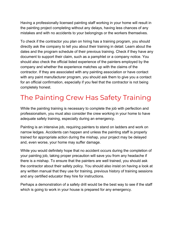Having a professionally licensed painting staff working in your home will result in the painting project completing without any delays, having less chances of any mistakes and with no accidents to your belongings or the workers themselves.

To check if the contractor you plan on hiring has a training program, you should directly ask the company to tell you about their training in detail. Learn about the dates and the program schedule of their previous training. Check if they have any document to support their claim, such as a pamphlet or a company notice. You should also check the official listed experience of the painters employed by the company and whether the experience matches up with the claims of the contractor. If they are associated with any painting association or have contact with any paint manufacturer program, you should ask them to give you a contact for an official confirmation, especially if you feel that the contractor is not being completely honest.

#### The Painting Crew Has Safety Training

While the painting training is necessary to complete the job with perfection and professionalism, you must also consider the crew working in your home to have adequate safety training, especially during an emergency.

Painting is an intensive job, requiring painters to stand on ladders and work on narrow ledges. Accidents can happen and unless the painting staff is properly trained for appropriate action during the mishap, your project may be delayed and, even worse, your home may suffer damage.

While you would definitely hope that no accident occurs during the completion of your painting job, taking proper precaution will save you from any headache if there is a mishap. To ensure that the painters are well trained, you should ask the contractor about their safety policy. You should also insist on having a look at any written manual that they use for training, previous history of training sessions and any certified educator they hire for instructions.

Perhaps a demonstration of a safety drill would be the best way to see if the staff which is going to work in your house is prepared for any emergency.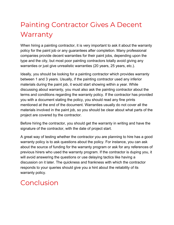### Painting Contractor Gives A Decent **Warranty**

When hiring a painting contractor, it is very important to ask it about the warranty policy for the paint job or any guarantees after completion. Many professional companies provide decent warranties for their paint jobs, depending upon the type and the city, but most poor painting contractors totally avoid giving any warranties or just give unrealistic warranties (20 years, 25 years, etc.).

Ideally, you should be looking for a painting contractor which provides warranty between 1 and 3 years. Usually, if the painting contractor used any inferior materials during the paint job, it would start showing within a year. While discussing about warranty, you must also ask the painting contractor about the terms and conditions regarding the warranty policy. If the contractor has provided you with a document stating the policy, you should read any fine prints mentioned at the end of the document. Warranties usually do not cover all the materials involved in the paint job, so you should be clear about what parts of the project are covered by the contractor.

Before hiring the contractor, you should get the warranty in writing and have the signature of the contractor, with the date of project start.

A great way of testing whether the contractor you are planning to hire has a good warranty policy is to ask questions about the policy. For instance, you can ask about the source of funding for the warranty program or ask for any references of previous hirers who used the warranty program. If the contractor is duping you, it will avoid answering the questions or use delaying tactics like having a discussion on it later. The quickness and frankness with which the contractor responds to your queries should give you a hint about the reliability of its warranty policy.

#### Conclusion